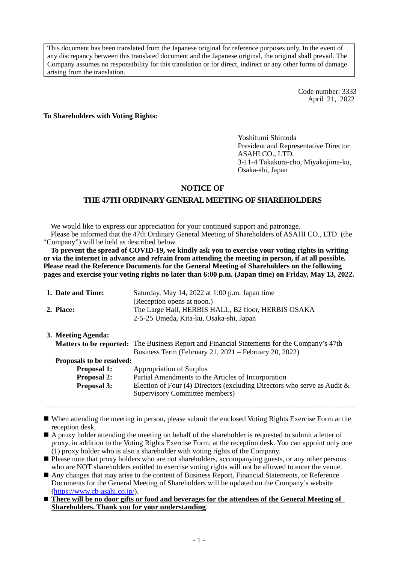This document has been translated from the Japanese original for reference purposes only. In the event of any discrepancy between this translated document and the Japanese original, the original shall prevail. The Company assumes no responsibility for this translation or for direct, indirect or any other forms of damage arising from the translation.

> Code number: 3333 April 21, 2022

**To Shareholders with Voting Rights:** 

Yoshifumi Shimoda President and Representative Director ASAHI CO., LTD. 3-11-4 Takakura-cho, Miyakojima-ku, Osaka-shi, Japan

#### **NOTICE OF**

## **THE 47TH ORDINARY GENERAL MEETING OF SHAREHOLDERS**

We would like to express our appreciation for your continued support and patronage. Please be informed that the 47th Ordinary General Meeting of Shareholders of ASAHI CO., LTD. (the "Company") will be held as described below.

**To prevent the spread of COVID-19, we kindly ask you to exercise your voting rights in writing or via the internet in advance and refrain from attending the meeting in person, if at all possible. Please read the Reference Documents for the General Meeting of Shareholders on the following pages and exercise your voting rights no later than 6:00 p.m. (Japan time) on Friday, May 13, 2022.** 

| 1. Date and Time:                | Saturday, May 14, 2022 at 1:00 p.m. Japan time                                                     |
|----------------------------------|----------------------------------------------------------------------------------------------------|
|                                  | (Reception opens at noon.)                                                                         |
| 2. Place:                        | The Large Hall, HERBIS HALL, B2 floor, HERBIS OSAKA                                                |
|                                  | 2-5-25 Umeda, Kita-ku, Osaka-shi, Japan                                                            |
| 3. Meeting Agenda:               |                                                                                                    |
|                                  | <b>Matters to be reported:</b> The Business Report and Financial Statements for the Company's 47th |
|                                  | Business Term (February 21, $2021$ – February 20, 2022)                                            |
| <b>Proposals to be resolved:</b> |                                                                                                    |
| <b>Proposal 1:</b>               | Appropriation of Surplus                                                                           |
| <b>Proposal 2:</b>               | Partial Amendments to the Articles of Incorporation                                                |
| <b>Proposal 3:</b>               | Election of Four (4) Directors (excluding Directors who serve as Audit $\&$                        |
|                                  | Supervisory Committee members)                                                                     |
|                                  |                                                                                                    |

- When attending the meeting in person, please submit the enclosed Voting Rights Exercise Form at the reception desk.
- A proxy holder attending the meeting on behalf of the shareholder is requested to submit a letter of proxy, in addition to the Voting Rights Exercise Form, at the reception desk. You can appoint only one (1) proxy holder who is also a shareholder with voting rights of the Company.
- Please note that proxy holders who are not shareholders, accompanying guests, or any other persons who are NOT shareholders entitled to exercise voting rights will not be allowed to enter the venue.
- Any changes that may arise to the content of Business Report, Financial Statements, or Reference Documents for the General Meeting of Shareholders will be updated on the Company's website (https://www.cb-asahi.co.jp/).
- **There will be no door gifts or food and beverages for the attendees of the General Meeting of Shareholders. Thank you for your understanding**.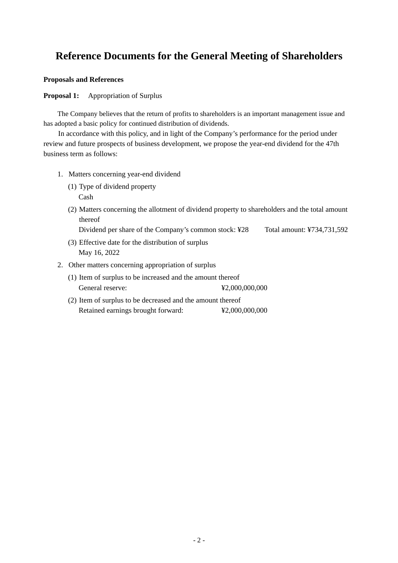# **Reference Documents for the General Meeting of Shareholders**

#### **Proposals and References**

#### **Proposal 1:** Appropriation of Surplus

The Company believes that the return of profits to shareholders is an important management issue and has adopted a basic policy for continued distribution of dividends.

In accordance with this policy, and in light of the Company's performance for the period under review and future prospects of business development, we propose the year-end dividend for the 47th business term as follows:

- 1. Matters concerning year-end dividend
	- (1) Type of dividend property

Cash

- (2) Matters concerning the allotment of dividend property to shareholders and the total amount thereof
	- Dividend per share of the Company's common stock: ¥28 Total amount: ¥734,731,592
- (3) Effective date for the distribution of surplus May 16, 2022
- 2. Other matters concerning appropriation of surplus
	- (1) Item of surplus to be increased and the amount thereof General reserve:  $\text{\$2,000,000,000}$
	- (2) Item of surplus to be decreased and the amount thereof Retained earnings brought forward:  $\text{\textdegree{42,000,000,000}}$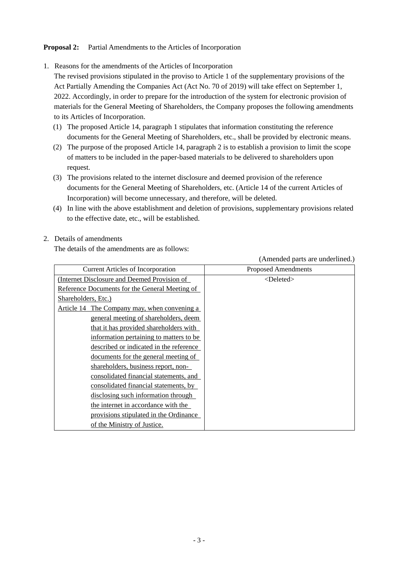### **Proposal 2:** Partial Amendments to the Articles of Incorporation

1. Reasons for the amendments of the Articles of Incorporation

The revised provisions stipulated in the proviso to Article 1 of the supplementary provisions of the Act Partially Amending the Companies Act (Act No. 70 of 2019) will take effect on September 1, 2022. Accordingly, in order to prepare for the introduction of the system for electronic provision of materials for the General Meeting of Shareholders, the Company proposes the following amendments to its Articles of Incorporation.

- (1) The proposed Article 14, paragraph 1 stipulates that information constituting the reference documents for the General Meeting of Shareholders, etc., shall be provided by electronic means.
- (2) The purpose of the proposed Article 14, paragraph 2 is to establish a provision to limit the scope of matters to be included in the paper-based materials to be delivered to shareholders upon request.
- (3) The provisions related to the internet disclosure and deemed provision of the reference documents for the General Meeting of Shareholders, etc. (Article 14 of the current Articles of Incorporation) will become unnecessary, and therefore, will be deleted.
- (4) In line with the above establishment and deletion of provisions, supplementary provisions related to the effective date, etc., will be established.

#### 2. Details of amendments

The details of the amendments are as follows:

(Amended parts are underlined.)

| <b>Current Articles of Incorporation</b>       | <b>Proposed Amendments</b> |
|------------------------------------------------|----------------------------|
| (Internet Disclosure and Deemed Provision of   | <deleted></deleted>        |
| Reference Documents for the General Meeting of |                            |
| Shareholders, Etc.)                            |                            |
| Article 14 The Company may, when convening a   |                            |
| general meeting of shareholders, deem          |                            |
| that it has provided shareholders with         |                            |
| information pertaining to matters to be        |                            |
| described or indicated in the reference        |                            |
| documents for the general meeting of           |                            |
| shareholders, business report, non-            |                            |
| consolidated financial statements, and         |                            |
| consolidated financial statements, by          |                            |
| disclosing such information through            |                            |
| the internet in accordance with the            |                            |
| provisions stipulated in the Ordinance         |                            |
| of the Ministry of Justice.                    |                            |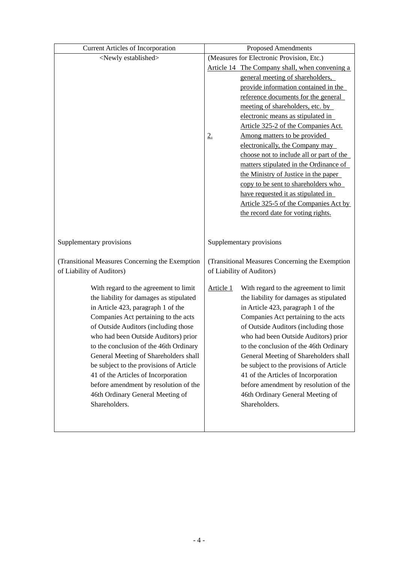| <b>Current Articles of Incorporation</b>        | <b>Proposed Amendments</b>                      |                                                |  |  |
|-------------------------------------------------|-------------------------------------------------|------------------------------------------------|--|--|
| <newly established=""></newly>                  | (Measures for Electronic Provision, Etc.)       |                                                |  |  |
|                                                 |                                                 | Article 14 The Company shall, when convening a |  |  |
|                                                 |                                                 | general meeting of shareholders,               |  |  |
|                                                 |                                                 | provide information contained in the           |  |  |
|                                                 |                                                 | reference documents for the general            |  |  |
|                                                 |                                                 | meeting of shareholders, etc. by               |  |  |
|                                                 |                                                 | electronic means as stipulated in              |  |  |
|                                                 |                                                 | Article 325-2 of the Companies Act.            |  |  |
|                                                 | 2.                                              | Among matters to be provided                   |  |  |
|                                                 |                                                 | electronically, the Company may                |  |  |
|                                                 |                                                 | choose not to include all or part of the       |  |  |
|                                                 |                                                 | matters stipulated in the Ordinance of         |  |  |
|                                                 |                                                 | the Ministry of Justice in the paper           |  |  |
|                                                 |                                                 | copy to be sent to shareholders who            |  |  |
|                                                 |                                                 | have requested it as stipulated in             |  |  |
|                                                 |                                                 | Article 325-5 of the Companies Act by          |  |  |
|                                                 |                                                 | the record date for voting rights.             |  |  |
|                                                 |                                                 |                                                |  |  |
|                                                 |                                                 |                                                |  |  |
| Supplementary provisions                        | Supplementary provisions                        |                                                |  |  |
| (Transitional Measures Concerning the Exemption | (Transitional Measures Concerning the Exemption |                                                |  |  |
| of Liability of Auditors)                       | of Liability of Auditors)                       |                                                |  |  |
|                                                 |                                                 |                                                |  |  |
| With regard to the agreement to limit           | Article 1                                       | With regard to the agreement to limit          |  |  |
| the liability for damages as stipulated         |                                                 | the liability for damages as stipulated        |  |  |
| in Article 423, paragraph 1 of the              |                                                 | in Article 423, paragraph 1 of the             |  |  |
| Companies Act pertaining to the acts            |                                                 | Companies Act pertaining to the acts           |  |  |
| of Outside Auditors (including those            |                                                 | of Outside Auditors (including those           |  |  |
| who had been Outside Auditors) prior            |                                                 | who had been Outside Auditors) prior           |  |  |
| to the conclusion of the 46th Ordinary          |                                                 | to the conclusion of the 46th Ordinary         |  |  |
| General Meeting of Shareholders shall           |                                                 | General Meeting of Shareholders shall          |  |  |
| be subject to the provisions of Article         |                                                 | be subject to the provisions of Article        |  |  |
| 41 of the Articles of Incorporation             |                                                 | 41 of the Articles of Incorporation            |  |  |
| before amendment by resolution of the           |                                                 | before amendment by resolution of the          |  |  |
| 46th Ordinary General Meeting of                |                                                 | 46th Ordinary General Meeting of               |  |  |
| Shareholders.                                   |                                                 | Shareholders.                                  |  |  |
|                                                 |                                                 |                                                |  |  |
|                                                 |                                                 |                                                |  |  |
|                                                 |                                                 |                                                |  |  |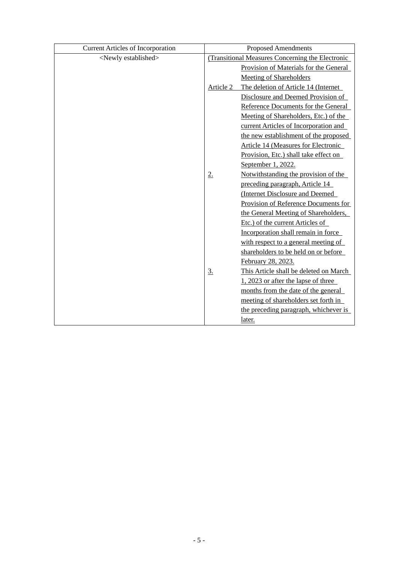| <b>Current Articles of Incorporation</b> | <b>Proposed Amendments</b> |                                                  |  |
|------------------------------------------|----------------------------|--------------------------------------------------|--|
| <newly established=""></newly>           |                            | (Transitional Measures Concerning the Electronic |  |
|                                          |                            | Provision of Materials for the General           |  |
|                                          |                            | Meeting of Shareholders                          |  |
|                                          | Article 2                  | The deletion of Article 14 (Internet             |  |
|                                          |                            | Disclosure and Deemed Provision of               |  |
|                                          |                            | Reference Documents for the General              |  |
|                                          |                            | Meeting of Shareholders, Etc.) of the            |  |
|                                          |                            | current Articles of Incorporation and            |  |
|                                          |                            | the new establishment of the proposed            |  |
|                                          |                            | <b>Article 14 (Measures for Electronic</b>       |  |
|                                          |                            | Provision, Etc.) shall take effect on            |  |
|                                          |                            | September 1, 2022.                               |  |
|                                          | 2.                         | Notwithstanding the provision of the             |  |
|                                          |                            | preceding paragraph, Article 14                  |  |
|                                          |                            | (Internet Disclosure and Deemed                  |  |
|                                          |                            | Provision of Reference Documents for             |  |
|                                          |                            | the General Meeting of Shareholders,             |  |
|                                          |                            | Etc.) of the current Articles of                 |  |
|                                          |                            | Incorporation shall remain in force              |  |
|                                          |                            | with respect to a general meeting of             |  |
|                                          |                            | shareholders to be held on or before             |  |
|                                          |                            | February 28, 2023.                               |  |
|                                          | <u>3.</u>                  | This Article shall be deleted on March           |  |
|                                          |                            | 1, 2023 or after the lapse of three              |  |
|                                          |                            | months from the date of the general              |  |
|                                          |                            | meeting of shareholders set forth in             |  |
|                                          |                            | the preceding paragraph, whichever is            |  |
|                                          |                            | later.                                           |  |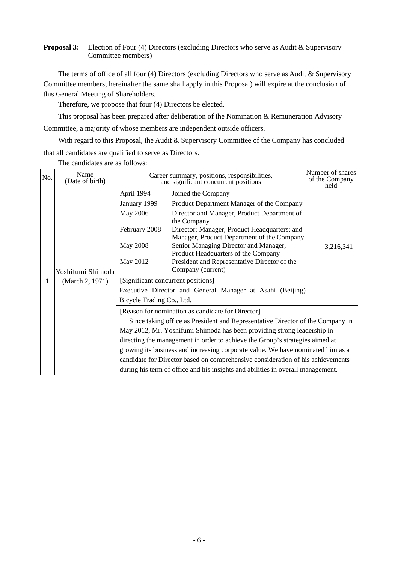#### **Proposal 3:** Election of Four (4) Directors (excluding Directors who serve as Audit & Supervisory Committee members)

The terms of office of all four (4) Directors (excluding Directors who serve as Audit & Supervisory Committee members; hereinafter the same shall apply in this Proposal) will expire at the conclusion of this General Meeting of Shareholders.

Therefore, we propose that four (4) Directors be elected.

This proposal has been prepared after deliberation of the Nomination  $\&$  Remuneration Advisory Committee, a majority of whose members are independent outside officers.

With regard to this Proposal, the Audit & Supervisory Committee of the Company has concluded that all candidates are qualified to serve as Directors.

| No. | Name<br>(Date of birth)              | Career summary, positions, responsibilities,<br>and significant concurrent positions                                                                                                                                                                                                                                                                                                                                                                                                                                                                    |                                                                                                                                                                                                                                                                                                                                                                                                                                               | Number of shares<br>of the Company<br>held |  |  |
|-----|--------------------------------------|---------------------------------------------------------------------------------------------------------------------------------------------------------------------------------------------------------------------------------------------------------------------------------------------------------------------------------------------------------------------------------------------------------------------------------------------------------------------------------------------------------------------------------------------------------|-----------------------------------------------------------------------------------------------------------------------------------------------------------------------------------------------------------------------------------------------------------------------------------------------------------------------------------------------------------------------------------------------------------------------------------------------|--------------------------------------------|--|--|
| 1   | Yoshifumi Shimoda<br>(March 2, 1971) | April 1994<br>January 1999<br>May 2006<br>February 2008<br>May 2008<br>May 2012<br>[Significant concurrent positions]<br>Bicycle Trading Co., Ltd.                                                                                                                                                                                                                                                                                                                                                                                                      | Joined the Company<br>Product Department Manager of the Company<br>Director and Manager, Product Department of<br>the Company<br>Director; Manager, Product Headquarters; and<br>Manager, Product Department of the Company<br>Senior Managing Director and Manager,<br>Product Headquarters of the Company<br>President and Representative Director of the<br>Company (current)<br>Executive Director and General Manager at Asahi (Beijing) | 3,216,341                                  |  |  |
|     |                                      | [Reason for nomination as candidate for Director]<br>Since taking office as President and Representative Director of the Company in<br>May 2012, Mr. Yoshifumi Shimoda has been providing strong leadership in<br>directing the management in order to achieve the Group's strategies aimed at<br>growing its business and increasing corporate value. We have nominated him as a<br>candidate for Director based on comprehensive consideration of his achievements<br>during his term of office and his insights and abilities in overall management. |                                                                                                                                                                                                                                                                                                                                                                                                                                               |                                            |  |  |

The candidates are as follows: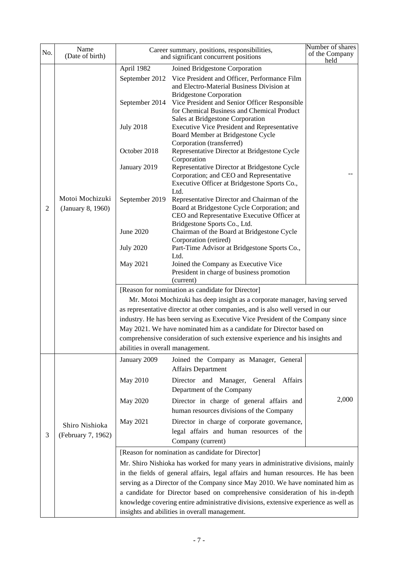| No.                                           | Name<br>(Date of birth)              |                                                                               | Career summary, positions, responsibilities,<br>and significant concurrent positions                                                                                                                                       | Number of shares<br>of the Company<br>held |  |  |  |  |
|-----------------------------------------------|--------------------------------------|-------------------------------------------------------------------------------|----------------------------------------------------------------------------------------------------------------------------------------------------------------------------------------------------------------------------|--------------------------------------------|--|--|--|--|
|                                               |                                      | April 1982                                                                    | Joined Bridgestone Corporation                                                                                                                                                                                             |                                            |  |  |  |  |
|                                               |                                      | September 2012<br>September 2014                                              | Vice President and Officer, Performance Film<br>and Electro-Material Business Division at<br><b>Bridgestone Corporation</b><br>Vice President and Senior Officer Responsible<br>for Chemical Business and Chemical Product |                                            |  |  |  |  |
|                                               |                                      | <b>July 2018</b>                                                              | Sales at Bridgestone Corporation<br><b>Executive Vice President and Representative</b><br>Board Member at Bridgestone Cycle<br>Corporation (transferred)                                                                   |                                            |  |  |  |  |
|                                               |                                      | October 2018                                                                  | Representative Director at Bridgestone Cycle<br>Corporation                                                                                                                                                                |                                            |  |  |  |  |
|                                               |                                      | January 2019                                                                  | Representative Director at Bridgestone Cycle<br>Corporation; and CEO and Representative<br>Executive Officer at Bridgestone Sports Co.,<br>Ltd.                                                                            |                                            |  |  |  |  |
| $\overline{2}$                                | Motoi Mochizuki<br>(January 8, 1960) | September 2019                                                                | Representative Director and Chairman of the<br>Board at Bridgestone Cycle Corporation; and<br>CEO and Representative Executive Officer at<br>Bridgestone Sports Co., Ltd.                                                  |                                            |  |  |  |  |
|                                               |                                      | <b>June 2020</b>                                                              | Chairman of the Board at Bridgestone Cycle<br>Corporation (retired)                                                                                                                                                        |                                            |  |  |  |  |
|                                               |                                      | <b>July 2020</b>                                                              | Part-Time Advisor at Bridgestone Sports Co.,<br>Ltd.                                                                                                                                                                       |                                            |  |  |  |  |
|                                               |                                      | May 2021                                                                      | Joined the Company as Executive Vice<br>President in charge of business promotion<br>(current)                                                                                                                             |                                            |  |  |  |  |
|                                               |                                      | [Reason for nomination as candidate for Director]                             |                                                                                                                                                                                                                            |                                            |  |  |  |  |
|                                               |                                      | Mr. Motoi Mochizuki has deep insight as a corporate manager, having served    |                                                                                                                                                                                                                            |                                            |  |  |  |  |
|                                               |                                      |                                                                               | as representative director at other companies, and is also well versed in our                                                                                                                                              |                                            |  |  |  |  |
|                                               |                                      |                                                                               | industry. He has been serving as Executive Vice President of the Company since                                                                                                                                             |                                            |  |  |  |  |
|                                               |                                      |                                                                               | May 2021. We have nominated him as a candidate for Director based on                                                                                                                                                       |                                            |  |  |  |  |
|                                               |                                      |                                                                               | comprehensive consideration of such extensive experience and his insights and                                                                                                                                              |                                            |  |  |  |  |
|                                               |                                      | abilities in overall management.                                              |                                                                                                                                                                                                                            |                                            |  |  |  |  |
|                                               |                                      | January 2009                                                                  | Joined the Company as Manager, General<br><b>Affairs Department</b>                                                                                                                                                        |                                            |  |  |  |  |
|                                               |                                      | <b>May 2010</b>                                                               | Director and Manager, General Affairs<br>Department of the Company                                                                                                                                                         |                                            |  |  |  |  |
|                                               |                                      | May 2020                                                                      | Director in charge of general affairs and<br>human resources divisions of the Company                                                                                                                                      | 2,000                                      |  |  |  |  |
| 3                                             | Shiro Nishioka<br>(February 7, 1962) | May 2021                                                                      | Director in charge of corporate governance,<br>legal affairs and human resources of the<br>Company (current)                                                                                                               |                                            |  |  |  |  |
|                                               |                                      |                                                                               | [Reason for nomination as candidate for Director]                                                                                                                                                                          |                                            |  |  |  |  |
|                                               |                                      |                                                                               | Mr. Shiro Nishioka has worked for many years in administrative divisions, mainly                                                                                                                                           |                                            |  |  |  |  |
|                                               |                                      |                                                                               | in the fields of general affairs, legal affairs and human resources. He has been                                                                                                                                           |                                            |  |  |  |  |
|                                               |                                      |                                                                               | serving as a Director of the Company since May 2010. We have nominated him as                                                                                                                                              |                                            |  |  |  |  |
|                                               |                                      | a candidate for Director based on comprehensive consideration of his in-depth |                                                                                                                                                                                                                            |                                            |  |  |  |  |
|                                               |                                      |                                                                               | knowledge covering entire administrative divisions, extensive experience as well as                                                                                                                                        |                                            |  |  |  |  |
| insights and abilities in overall management. |                                      |                                                                               |                                                                                                                                                                                                                            |                                            |  |  |  |  |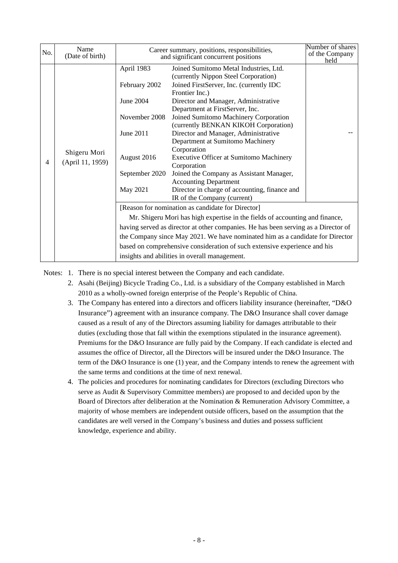| No. | Name<br>(Date of birth)          | Career summary, positions, responsibilities,<br>and significant concurrent positions                                | Number of shares<br>of the Company<br>held                                                                                                                                                                                                                                                                                                                                                                                                                                                                                                                                                                               |  |
|-----|----------------------------------|---------------------------------------------------------------------------------------------------------------------|--------------------------------------------------------------------------------------------------------------------------------------------------------------------------------------------------------------------------------------------------------------------------------------------------------------------------------------------------------------------------------------------------------------------------------------------------------------------------------------------------------------------------------------------------------------------------------------------------------------------------|--|
| 4   | Shigeru Mori<br>(April 11, 1959) | April 1983<br>February 2002<br>June 2004<br>November 2008<br>June 2011<br>August 2016<br>September 2020<br>May 2021 | Joined Sumitomo Metal Industries, Ltd.<br>(currently Nippon Steel Corporation)<br>Joined FirstServer, Inc. (currently IDC<br>Frontier Inc.)<br>Director and Manager, Administrative<br>Department at FirstServer, Inc.<br>Joined Sumitomo Machinery Corporation<br>(currently BENKAN KIKOH Corporation)<br>Director and Manager, Administrative<br>Department at Sumitomo Machinery<br>Corporation<br>Executive Officer at Sumitomo Machinery<br>Corporation<br>Joined the Company as Assistant Manager,<br><b>Accounting Department</b><br>Director in charge of accounting, finance and<br>IR of the Company (current) |  |
|     |                                  |                                                                                                                     | [Reason for nomination as candidate for Director]<br>Mr. Shigeru Mori has high expertise in the fields of accounting and finance,<br>having served as director at other companies. He has been serving as a Director of<br>the Company since May 2021. We have nominated him as a candidate for Director<br>based on comprehensive consideration of such extensive experience and his<br>insights and abilities in overall management.                                                                                                                                                                                   |  |

Notes: 1. There is no special interest between the Company and each candidate.

- 2. Asahi (Beijing) Bicycle Trading Co., Ltd. is a subsidiary of the Company established in March 2010 as a wholly-owned foreign enterprise of the People's Republic of China.
- 3. The Company has entered into a directors and officers liability insurance (hereinafter, "D&O Insurance") agreement with an insurance company. The D&O Insurance shall cover damage caused as a result of any of the Directors assuming liability for damages attributable to their duties (excluding those that fall within the exemptions stipulated in the insurance agreement). Premiums for the D&O Insurance are fully paid by the Company. If each candidate is elected and assumes the office of Director, all the Directors will be insured under the D&O Insurance. The term of the D&O Insurance is one (1) year, and the Company intends to renew the agreement with the same terms and conditions at the time of next renewal.
- 4. The policies and procedures for nominating candidates for Directors (excluding Directors who serve as Audit & Supervisory Committee members) are proposed to and decided upon by the Board of Directors after deliberation at the Nomination & Remuneration Advisory Committee, a majority of whose members are independent outside officers, based on the assumption that the candidates are well versed in the Company's business and duties and possess sufficient knowledge, experience and ability.